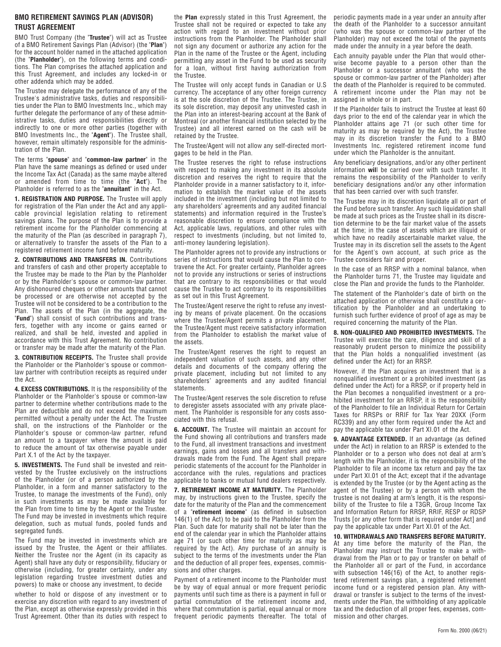#### **BMO RETIREMENT SAVINGS PLAN (ADVISOR) TRUST AGREEMENT**

BMO Trust Company (the "**Trustee**") will act as Trustee of a BMO Retirement Savings Plan (Advisor) (the "**Plan**") for the account holder named in the attached application (the "**Planholder**"), on the following terms and conditions. The Plan comprises the attached application and this Trust Agreement, and includes any locked-in or other addenda which may be added.

The Trustee may delegate the performance of any of the Trustee's administrative tasks, duties and responsibilities under the Plan to BMO Investments Inc., which may further delegate the performance of any of these administrative tasks, duties and responsibilities directly or indirectly to one or more other parties (together with BMO Investments Inc., the "**Agent**"). The Trustee shall, however, remain ultimately responsible for the administration of the Plan.

The terms "**spouse**" and "**common-law partner**" in the Plan have the same meanings as defined or used under the Income Tax Act (Canada) as the same maybe altered or amended from time to time (the "**Act**"). The Planholder is referred to as the "**annuitant**" in the Act.

**1. REGISTRATION AND PURPOSE.** The Trustee will apply for registration of the Plan under the Act and any applicable provincial legislation relating to retirement savings plans. The purpose of the Plan is to provide a retirement income for the Planholder commencing at the maturity of the Plan (as described in paragraph 7), or alternatively to transfer the assets of the Plan to a registered retirement income fund before maturity.

2. CONTRIBUTIONS AND TRANSFERS IN. Contributions and transfers of cash and other property acceptable to the Trustee may be made to the Plan by the Planholder or by the Planholder's spouse or common-law partner. Any dishonoured cheques or other amounts that cannot be processed or are otherwise not accepted by the Trustee will not be considered to be a contribution to the Plan. The assets of the Plan (in the aggregate, the "**Fund**") shall consist of such contributions and transfers, together with any income or gains earned or realized, and shall be held, invested and applied in accordance with this Trust Agreement. No contribution or transfer may be made after the maturity of the Plan.

**3. CONTRIBUTION RECEIPTS.** The Trustee shall provide the Planholder or the Planholder's spouse or commonlaw partner with contribution receipts as required under the Act.

**4. EXCESS CONTRIBUTIONS.** It is the responsibility of the Planholder or the Planholder's spouse or common-law partner to determine whether contributions made to the Plan are deductible and do not exceed the maximum permitted without a penalty under the Act. The Trustee shall, on the instructions of the Planholder or the Planholder's spouse or common-law partner, refund an amount to a taxpayer where the amount is paid to reduce the amount of tax otherwise payable under Part X.1 of the Act by the taxpayer.

**5. INVESTMENTS.** The Fund shall be invested and reinvested by the Trustee exclusively on the instructions of the Planholder (or of a person authorized by the Planholder, in a form and manner satisfactory to the Trustee, to manage the investments of the Fund), only in such investments as may be made available for the Plan from time to time by the Agent or the Trustee. The Fund may be invested in investments which require delegation, such as mutual funds, pooled funds and segregated funds.

The Fund may be invested in investments which are issued by the Trustee, the Agent or their affiliates. Neither the Trustee nor the Agent (in its capacity as Agent) shall have any duty or responsibility, fiduciary or otherwise (including, for greater certainty, under any legislation regarding trustee investment duties and powers) to make or choose any investment, to decide

whether to hold or dispose of any investment or to exercise any discretion with regard to any investment of the Plan, except as otherwise expressly provided in this Trust Agreement. Other than its duties with respect to

the **Plan** expressly stated in this Trust Agreement, the Trustee shall not be required or expected to take any action with regard to an investment without prior instructions from the Planholder. The Planholder shall not sign any document or authorize any action for the Plan in the name of the Trustee or the Agent, including permitting any asset in the Fund to be used as security for a loan, without first having authorization from the Trustee.

The Trustee will only accept funds in Canadian or U.S currency. The acceptance of any other foreign currency is at the sole discretion of the Trustee. The Trustee, in its sole discretion, may deposit any uninvested cash in the Plan into an interest-bearing account at the Bank of Montreal (or another financial institution selected by the Trustee) and all interest earned on the cash will be retained by the Trustee.

The Trustee/Agent will not allow any self-directed mortgages to be held in the Plan.

The Trustee reserves the right to refuse instructions with respect to making any investment in its absolute discretion and reserves the right to require that the Planholder provide in a manner satisfactory to it, information to establish the market value of the assets included in the investment (including but not limited to any shareholders' agreements and any audited financial statements) and information required in the Trustee's reasonable discretion to ensure compliance with the Act, applicable laws, regulations, and other rules with respect to investments (including, but not limited to, anti-money laundering legislation).

The Planholder agrees not to provide any instructions or series of instructions that would cause the Plan to contravene the Act. For greater certainty, Planholder agrees not to provide any instructions or series of instructions that are contrary to its responsibilities or that would cause the Trustee to act contrary to its responsibilities as set out in this Trust Agreement.

The Trustee/Agent reserve the right to refuse any investing by means of private placement. On the occasions where the Trustee/Agent permits a private placement, the Trustee/Agent must receive satisfactory information from the Planholder to establish the market value of the assets.

The Trustee/Agent reserves the right to request an independent valuation of such assets, and any other details and documents of the company offering the private placement, including but not limited to any shareholders' agreements and any audited financial statements.

The Trustee/Agent reserves the sole discretion to refuse to deregister assets associated with any private placement. The Planholder is responsible for any costs associated with this refusal.

**6. ACCOUNT.** The Trustee will maintain an account for the Fund showing all contributions and transfers made to the Fund, all investment transactions and investment earnings, gains and losses and all transfers and withdrawals made from the Fund. The Agent shall prepare periodic statements of the account for the Planholder in accordance with the rules, regulations and practices applicable to banks or mutual fund dealers respectively.

**7. RETIREMENT INCOME AT MATURITY.** The Planholder may, by instructions given to the Trustee, specify the date for the maturity of the Plan and the commencement of a "**retirement income**" (as defined in subsection 146(1) of the Act) to be paid to the Planholder from the Plan. Such date for maturity shall not be later than the end of the calendar year in which the Planholder attains age 71 (or such other time for maturity as may be required by the Act). Any purchase of an annuity is subject to the terms of the investments under the Plan and the deduction of all proper fees, expenses, commissions and other charges.

Payment of a retirement income to the Planholder must be by way of equal annual or more frequent periodic payments until such time as there is a payment in full or partial commutation of the retirement income and, where that commutation is partial, equal annual or more frequent periodic payments thereafter. The total of

periodic payments made in a year under an annuity after the death of the Planholder to a successor annuitant (who was the spouse or common-law partner of the Planholder) may not exceed the total of the payments made under the annuity in a year before the death.

Each annuity payable under the Plan that would otherwise become payable to a person other than the Planholder or a successor annuitant (who was the spouse or common-law partner of the Planholder) after the death of the Planholder is required to be commuted. A retirement income under the Plan may not be assigned in whole or in part.

If the Planholder fails to instruct the Trustee at least 60 days prior to the end of the calendar year in which the Planholder attains age 71 (or such other time for maturity as may be required by the Act), the Trustee may in its discretion transfer the Fund to a BMO Investments Inc. registered retirement income fund under which the Planholder is the annuitant.

Any beneficiary designations, and/or any other pertinent information **wil**l be carried over with such transfer. It remains the responsibility of the Planholder to verify beneficiary designations and/or any other information that has been carried over with such transfer.

The Trustee may in its discretion liquidate all or part of the Fund before such transfer. Any such liquidation shall be made at such prices as the Trustee shall in its discretion determine to be the fair market value of the assets at the time; in the case of assets which are illiquid or which have no readily ascertainable market value, the Trustee may in its discretion sell the assets to the Agent for the Agent's own account, at such price as the Trustee considers fair and proper.

In the case of an RRSP with a nominal balance, when the Planholder turns 71, the Trustee may liquidate and close the Plan and provide the funds to the Planholder.

The statement of the Planholder's date of birth on the attached application or otherwise shall constitute a certification by the Planholder and an undertaking to furnish such further evidence of proof of age as may be required concerning the maturity of the Plan.

**8. NON-QUALIFIED AND PROHIBITED INVESTMENTS.** The Trustee will exercise the care, diligence and skill of a reasonably prudent person to minimize the possibility that the Plan holds a nonqualified investment (as defined under the Act) for an RRSP.

However, if the Plan acquires an investment that is a nonqualified investment or a prohibited investment (as defined under the Act) for a RRSP, or if property held in the Plan becomes a nonqualified investment or a prohibited investment for an RRSP, it is the responsibility of the Planholder to file an Individual Return for Certain Taxes for RRSPs or RRIF for Tax Year 20XX (Form RC339) and any other form required under the Act and pay the applicable tax under Part XI.01 of the Act.

**9. ADVANTAGE EXTENDED.** If an advantage (as defined under the Act) in relation to an RRSP is extended to the Planholder or to a person who does not deal at arm's length with the Planholder, it is the responsibility of the Planholder to file an income tax return and pay the tax under Part XI.01 of the Act; except that if the advantage is extended by the Trustee (or by the Agent acting as the agent of the Trustee) or by a person with whom the trustee is not dealing at arm's length, it is the responsibility of the Trustee to file a T3GR, Group Income Tax and Information Return for RRSP, RRIF, RESP or RDSP Trusts [or any other form that is required under Act] and pay the applicable tax under Part XI.01 of the Act.

#### **10. WITHDRAWALS AND TRANSFERS BEFORE MATURITY.**

At any time before the maturity of the Plan, the Planholder may instruct the Trustee to make a withdrawal from the Plan or to pay or transfer on behalf of the Planholder all or part of the Fund, in accordance with subsection 146(16) of the Act, to another registered retirement savings plan, a registered retirement income fund or a registered pension plan. Any withdrawal or transfer is subject to the terms of the investments under the Plan, the withholding of any applicable tax and the deduction of all proper fees, expenses, commission and other charges.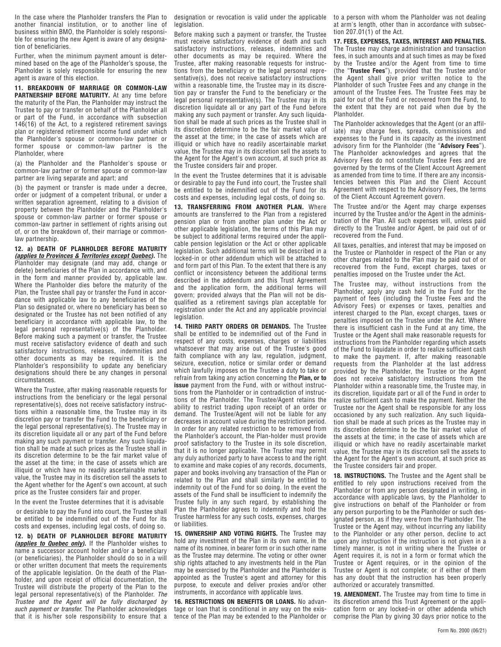In the case where the Planholder transfers the Plan to another financial institution, or to another line of business within BMO, the Planholder is solely responsible for ensuring the new Agent is aware of any designation of beneficiaries.

Further, when the minimum payment amount is determined based on the age of the Planholder's spouse, the Planholder is solely responsible for ensuring the new agent is aware of this election.

**11. BREAKDOWN OF MARRIAGE OR COMMON-LAW PARTNERSHIP BEFORE MATURITY.** At any time before the maturity of the Plan, the Planholder may instruct the Trustee to pay or transfer on behalf of the Planholder all or part of the Fund, in accordance with subsection 146(16) of the Act, to a registered retirement savings plan or registered retirement income fund under which the Planholder's spouse or common-law partner or former spouse or common-law partner is the Planholder, where

(a) the Planholder and the Planholder's spouse or common-law partner or former spouse or common-law partner are living separate and apart; and

(b) the payment or transfer is made under a decree, order or judgment of a competent tribunal, or under a written separation agreement, relating to a division of property between the Planholder and the Planholder's spouse or common-law partner or former spouse or common-law partner in settlement of rights arising out of, or on the breakdown of, their marriage or commonlaw partnership.

**12. a) DEATH OF PLANHOLDER BEFORE MATURITY (applies to Provinces & Territories except Quebec).** The Planholder may designate (and may add, change or delete) beneficiaries of the Plan in accordance with, and in the form and manner provided by, applicable law. Where the Planholder dies before the maturity of the Plan, the Trustee shall pay or transfer the Fund in accordance with applicable law to any beneficiaries of the Plan so designated or, where no beneficiary has been so designated or the Trustee has not been notified of any beneficiary in accordance with applicable law, to the legal personal representative(s) of the Planholder. Before making such a payment or transfer, the Trustee must receive satisfactory evidence of death and such satisfactory instructions, releases, indemnities and other documents as may be required. It is the Planholder's responsibility to update any beneficiary designations should there be any changes in personal circumstances.

Where the Trustee, after making reasonable requests for instructions from the beneficiary or the legal personal representative(s), does not receive satisfactory instructions within a reasonable time, the Trustee may in its discretion pay or transfer the Fund to the beneficiary or the legal personal representative(s). The Trustee may in its discretion liquidate all or any part of the Fund before making any such payment or transfer. Any such liquidation shall be made at such prices as the Trustee shall in its discretion determine to be the fair market value of the asset at the time; in the case of assets which are illiquid or which have no readily ascertainable market value, the Trustee may in its discretion sell the assets to the Agent whether for the Agent's own account, at such price as the Trustee considers fair and proper.

In the event the Trustee determines that it is advisable

 or desirable to pay the Fund into court, the Trustee shall be entitled to be indemnified out of the Fund for its costs and expenses, including legal costs, of doing so.

**12. b) DEATH OF PLANHOLDER BEFORE MATURITY (applies to Quebec only).** If the Planholder wishes to name a successor account holder and/or a beneficiary (or beneficiaries), the Planholder should do so in a will or other written document that meets the requirements of the applicable legislation. On the death of the Planholder, and upon receipt of official documentation, the Trustee will distribute the property of the Plan to the legal personal representative(s) of the Planholder. The Trustee and the Agent will be fully discharged by such payment or transfer. The Planholder acknowledges that it is his/her sole responsibility to ensure that a designation or revocation is valid under the applicable legislation.

Before making such a payment or transfer, the Trustee must receive satisfactory evidence of death and such satisfactory instructions, releases, indemnities and other documents as may be required. Where the Trustee, after making reasonable requests for instructions from the beneficiary or the legal personal representative(s), does not receive satisfactory instructions within a reasonable time, the Trustee may in its discretion pay or transfer the Fund to the beneficiary or the legal personal representative(s). The Trustee may in its discretion liquidate all or any part of the Fund before making any such payment or transfer. Any such liquidation shall be made at such prices as the Trustee shall in its discretion determine to be the fair market value of the asset at the time; in the case of assets which are illiquid or which have no readily ascertainable market value, the Trustee may in its discretion sell the assets to the Agent for the Agent's own account, at such price as the Trustee considers fair and proper.

In the event the Trustee determines that it is advisable or desirable to pay the Fund into court, the Trustee shall be entitled to be indemnified out of the Fund for its costs and expenses, including legal costs, of doing so.

**13. TRANSFERRING FROM ANOTHER PLAN.** Where amounts are transferred to the Plan from a registered pension plan or from another plan under the Act or other applicable legislation, the terms of this Plan may be subject to additional terms required under the applicable pension legislation or the Act or other applicable legislation. Such additional terms will be described in a locked-in or other addendum which will be attached to and form part of this Plan. To the extent that there is any conflict or inconsistency between the additional terms described in the addendum and this Trust Agreement and the application form, the additional terms will govern; provided always that the Plan will not be disqualified as a retirement savings plan acceptable for registration under the Act and any applicable provincial legislation.

**14. THIRD PARTY ORDERS OR DEMANDS.** The Trustee shall be entitled to be indemnified out of the Fund in respect of any costs, expenses, charges or liabilities whatsoever that may arise out of the Trustee's good faith compliance with any law, regulation, judgment, seizure, execution, notice or similar order or demand which lawfully imposes on the Trustee a duty to take or refrain from taking any action concerning the **Plan, or to issue** payment from the Fund, with or without instructions from the Planholder or in contradiction of instructions of the Planholder. The Trustee/Agent retains the ability to restrict trading upon receipt of an order or demand. The Trustee/Agent will not be liable for any decreases in account value during the restriction period. In order for any related restriction to be removed from the Planholder's account, the Plan-holder must provide proof satisfactory to the Trustee in its sole discretion, that it is no longer applicable. The Trustee may permit any duly authorized party to have access to and the right to examine and make copies of any records, documents, paper and books involving any transaction of the Plan or related to the Plan and shall similarly be entitled to indemnity out of the Fund for so doing. In the event the assets of the Fund shall be insufficient to indemnify the Trustee fully in any such regard, by establishing the Plan the Planholder agrees to indemnify and hold the Trustee harmless for any such costs, expenses, charges or liabilities.

15. OWNERSHIP AND VOTING RIGHTS. The Trustee may hold any investment of the Plan in its own name, in the name of its nominee, in bearer form or in such other name as the Trustee may determine. The voting or other owner ship rights attached to any investments held in the Plan may be exercised by the Planholder and the Planholder is appointed as the Trustee's agent and attorney for this purpose, to execute and deliver proxies and/or other instruments, in accordance with applicable laws.

**16. RESTRICTIONS ON BENEFITS OR LOANS.** No advantage or loan that is conditional in any way on the existence of the Plan may be extended to the Planholder or to a person with whom the Planholder was not dealing at arm's length, other than in accordance with subsection 207.01(1) of the Act.

**17. FEES, EXPENSES, TAXES, INTEREST AND PENALTIES.**  The Trustee may charge administration and transaction fees, in such amounts and at such times as may be fixed by the Trustee and/or the Agent from time to time (the "**Trustee Fees**"), provided that the Trustee and/or the Agent shall give prior written notice to the Planholder of such Trustee Fees and any change in the amount of the Trustee Fees. The Trustee Fees may be paid for out of the Fund or recovered from the Fund, to the extent that they are not paid when due by the Planholder.

The Planholder acknowledges that the Agent (or an affiliate) may charge fees, spreads, commissions and expenses to the Fund in its capacity as the investment advisory firm for the Planholder (the "**Advisory Fees**"). The Planholder acknowledges and agrees that the Advisory Fees do not constitute Trustee Fees and are governed by the terms of the Client Account Agreement as amended from time to time. If there are any inconsistencies between this Plan and the Client Account Agreement with respect to the Advisory Fees, the terms of the Client Account Agreement govern.

The Trustee and/or the Agent may charge expenses incurred by the Trustee and/or the Agent in the administration of the Plan. All such expenses will, unless paid directly to the Trustee and/or Agent, be paid out of or recovered from the Fund.

All taxes, penalties, and interest that may be imposed on the Trustee or Planholder in respect of the Plan or any other charges related to the Plan may be paid out of or recovered from the Fund, except charges, taxes or penalties imposed on the Trustee under the Act.

The Trustee may, without instructions from the Planholder, apply any cash held in the Fund for the payment of fees (including the Trustee Fees and the Advisory Fees) or expenses or taxes, penalties and interest charged to the Plan, except charges, taxes or penalties imposed on the Trustee under the Act. Where there is insufficient cash in the Fund at any time, the Trustee or the Agent shall make reasonable requests for instructions from the Planholder regarding which assets of the Fund to liquidate in order to realize sufficient cash to make the payment. If, after making reasonable requests from the Planholder at the last address provided by the Planholder, the Trustee or the Agent does not receive satisfactory instructions from the Planholder within a reasonable time, the Trustee may, in its discretion, liquidate part or all of the Fund in order to realize sufficient cash to make the payment. Neither the Trustee nor the Agent shall be responsible for any loss occasioned by any such realization. Any such liquidation shall be made at such prices as the Trustee may in its discretion determine to be the fair market value of the assets at the time; in the case of assets which are illiquid or which have no readily ascertainable market value, the Trustee may in its discretion sell the assets to the Agent for the Agent's own account, at such price as the Trustee considers fair and proper.

**18. INSTRUCTIONS.** The Trustee and the Agent shall be entitled to rely upon instructions received from the Planholder or from any person designated in writing, in accordance with applicable laws, by the Planholder to give instructions on behalf of the Planholder or from any person purporting to be the Planholder or such designated person, as if they were from the Planholder. The Trustee or the Agent may, without incurring any liability to the Planholder or any other person, decline to act upon any instruction if the instruction is not given in a timely manner, is not in writing where the Trustee or Agent requires it, is not in a form or format which the Trustee or Agent requires, or in the opinion of the Trustee or Agent is not complete; or if either of them has any doubt that the instruction has been properly authorized or accurately transmitted.

**19. AMENDMENT.** The Trustee may from time to time in its discretion amend this Trust Agreement or the application form or any locked-in or other addenda which comprise the Plan by giving 30 days prior notice to the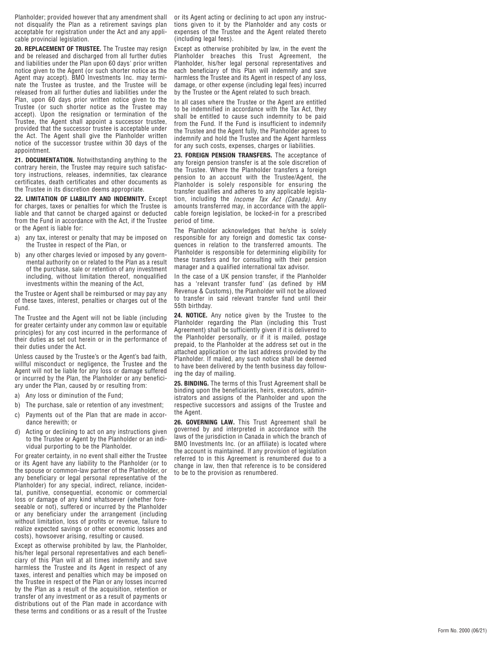Planholder; provided however that any amendment shall not disqualify the Plan as a retirement savings plan acceptable for registration under the Act and any applicable provincial legislation.

**20. REPLACEMENT OF TRUSTEE.** The Trustee may resign and be released and discharged from all further duties and liabilities under the Plan upon 60 days' prior written notice given to the Agent (or such shorter notice as the Agent may accept). BMO Investments Inc. may terminate the Trustee as trustee, and the Trustee will be released from all further duties and liabilities under the Plan, upon 60 days prior written notice given to the Trustee (or such shorter notice as the Trustee may accept). Upon the resignation or termination of the Trustee, the Agent shall appoint a successor trustee, provided that the successor trustee is acceptable under the Act. The Agent shall give the Planholder written notice of the successor trustee within 30 days of the appointment.

**21. DOCUMENTATION.** Notwithstanding anything to the contrary herein, the Trustee may require such satisfactory instructions, releases, indemnities, tax clearance certificates, death certificates and other documents as the Trustee in its discretion deems appropriate.

**22. LIMITATION OF LIABILITY AND INDEMNITY.** Except for charges, taxes or penalties for which the Trustee is liable and that cannot be charged against or deducted from the Fund in accordance with the Act, if the Trustee or the Agent is liable for:

- a) any tax, interest or penalty that may be imposed on the Trustee in respect of the Plan, or
- b) any other charges levied or imposed by any governmental authority on or related to the Plan as a result of the purchase, sale or retention of any investment including, without limitation thereof, nonqualified investments within the meaning of the Act,

the Trustee or Agent shall be reimbursed or may pay any of these taxes, interest, penalties or charges out of the Fund.

The Trustee and the Agent will not be liable (including for greater certainty under any common law or equitable principles) for any cost incurred in the performance of their duties as set out herein or in the performance of their duties under the Act.

Unless caused by the Trustee's or the Agent's bad faith, willful misconduct or negligence, the Trustee and the Agent will not be liable for any loss or damage suffered or incurred by the Plan, the Planholder or any beneficiary under the Plan, caused by or resulting from:

a) Any loss or diminution of the Fund;

dance herewith; or

- b) The purchase, sale or retention of any investment;
- c) Payments out of the Plan that are made in accor-
- d) Acting or declining to act on any instructions given to the Trustee or Agent by the Planholder or an individual purporting to be the Planholder.

For greater certainty, in no event shall either the Trustee or its Agent have any liability to the Planholder (or to the spouse or common-law partner of the Planholder, or any beneficiary or legal personal representative of the Planholder) for any special, indirect, reliance, incidental, punitive, consequential, economic or commercial loss or damage of any kind whatsoever (whether foreseeable or not), suffered or incurred by the Planholder or any beneficiary under the arrangement (including without limitation, loss of profits or revenue, failure to realize expected savings or other economic losses and costs), howsoever arising, resulting or caused.

Except as otherwise prohibited by law, the Planholder, his/her legal personal representatives and each beneficiary of this Plan will at all times indemnify and save harmless the Trustee and its Agent in respect of any taxes, interest and penalties which may be imposed on the Trustee in respect of the Plan or any losses incurred by the Plan as a result of the acquisition, retention or transfer of any investment or as a result of payments or distributions out of the Plan made in accordance with these terms and conditions or as a result of the Trustee

or its Agent acting or declining to act upon any instructions given to it by the Planholder and any costs or expenses of the Trustee and the Agent related thereto (including legal fees).

Except as otherwise prohibited by law, in the event the Planholder breaches this Trust Agreement, the Planholder, his/her legal personal representatives and each beneficiary of this Plan will indemnify and save harmless the Trustee and its Agent in respect of any loss, damage, or other expense (including legal fees) incurred by the Trustee or the Agent related to such breach.

In all cases where the Trustee or the Agent are entitled to be indemnified in accordance with the Tax Act, they shall be entitled to cause such indemnity to be paid from the Fund. If the Fund is insufficient to indemnify the Trustee and the Agent fully, the Planholder agrees to indemnify and hold the Trustee and the Agent harmless for any such costs, expenses, charges or liabilities.

**23. FOREIGN PENSION TRANSFERS.** The acceptance of any foreign pension transfer is at the sole discretion of the Trustee. Where the Planholder transfers a foreign pension to an account with the Trustee/Agent, the Planholder is solely responsible for ensuring the transfer qualifies and adheres to any applicable legislation, including the Income Tax Act (Canada). Any amounts transferred may, in accordance with the applicable foreign legislation, be locked-in for a prescribed period of time.

The Planholder acknowledges that he/she is solely responsible for any foreign and domestic tax consequences in relation to the transferred amounts. The Planholder is responsible for determining eligibility for these transfers and for consulting with their pension manager and a qualified international tax advisor.

In the case of a UK pension transfer, if the Planholder has a 'relevant transfer fund' (as defined by HM Revenue & Customs), the Planholder will not be allowed to transfer in said relevant transfer fund until their 55th birthday.

**24. NOTICE.** Any notice given by the Trustee to the Planholder regarding the Plan (including this Trust Agreement) shall be sufficiently given if it is delivered to the Planholder personally, or if it is mailed, postage prepaid, to the Planholder at the address set out in the attached application or the last address provided by the Planholder. If mailed, any such notice shall be deemed to have been delivered by the tenth business day following the day of mailing.

**25. BINDING.** The terms of this Trust Agreement shall be binding upon the beneficiaries, heirs, executors, administrators and assigns of the Planholder and upon the respective successors and assigns of the Trustee and the Agent.

26. GOVERNING LAW. This Trust Agreement shall be governed by and interpreted in accordance with the laws of the jurisdiction in Canada in which the branch of BMO Investments Inc. (or an affiliate) is located where the account is maintained. If any provision of legislation referred to in this Agreement is renumbered due to a change in law, then that reference is to be considered to be to the provision as renumbered.